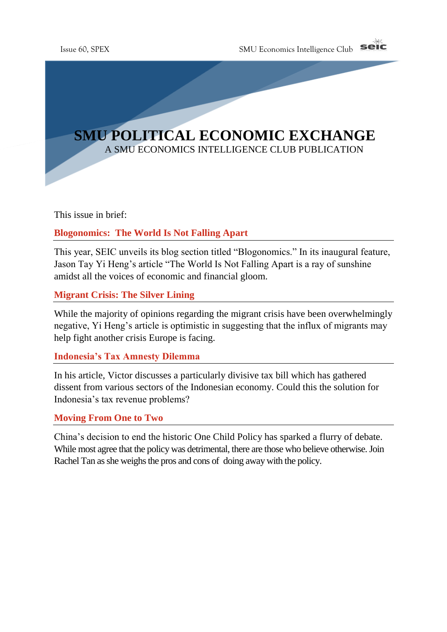

This issue in brief:

## **Blogonomics: The World Is Not Falling Apart**

This year, SEIC unveils its blog section titled "Blogonomics." In its inaugural feature, Jason Tay Yi Heng's article "The World Is Not Falling Apart is a ray of sunshine amidst all the voices of economic and financial gloom.

**Migrant Crisis: The Silver Lining**

While the majority of opinions regarding the migrant crisis have been overwhelmingly negative, Yi Heng's article is optimistic in suggesting that the influx of migrants may help fight another crisis Europe is facing.

## **Indonesia's Tax Amnesty Dilemma**

In his article, Victor discusses a particularly divisive tax bill which has gathered dissent from various sectors of the Indonesian economy. Could this the solution for Indonesia's tax revenue problems?

## **Moving From One to Two**

China's decision to end the historic One Child Policy has sparked a flurry of debate. While most agree that the policy was detrimental, there are those who believe otherwise. Join Rachel Tan as she weighs the pros and cons of doing away with the policy.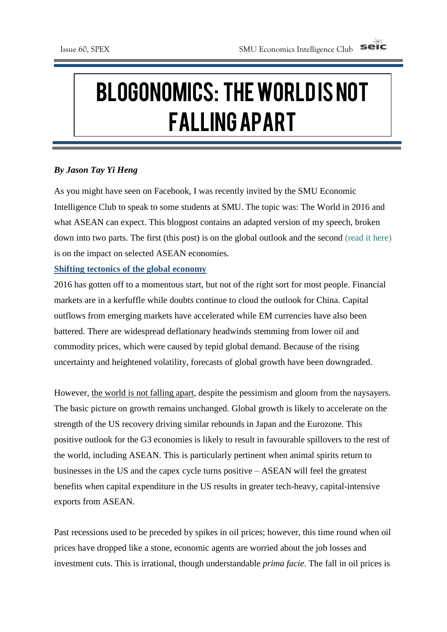# Blogonomics: Theworld is not falling apart

c

c

### *By Jason Tay Yi Heng*

As you might have seen on Facebook, I was recently invited by the SMU Economic Intelligence Club to speak to some students at SMU. The topic was: The World in 2016 and what ASEAN can expect. This blogpost contains an adapted version of my speech, broken down into two parts. The first (this post) is on the global outlook and the second [\(read](https://jasontanyiheng.wordpress.com/2016/02/20/asean-outlook-domestic-policy-key-to-robust-growth/) it here) is on the impact on selected ASEAN economies.

#### **Shifting tectonics of the global economy**

2016 has gotten off to a momentous start, but not of the right sort for most people. Financial markets are in a kerfuffle while doubts continue to cloud the outlook for China. Capital outflows from emerging markets have accelerated while EM currencies have also been battered. There are widespread deflationary headwinds stemming from lower oil and commodity prices, which were caused by tepid global demand. Because of the rising uncertainty and heightened volatility, forecasts of global growth have been downgraded.

However, the world is not falling apart, despite the pessimism and gloom from the naysayers. The basic picture on growth remains unchanged. Global growth is likely to accelerate on the strength of the US recovery driving similar rebounds in Japan and the Eurozone. This positive outlook for the G3 economies is likely to result in favourable spillovers to the rest of the world, including ASEAN. This is particularly pertinent when animal spirits return to businesses in the US and the capex cycle turns positive – ASEAN will feel the greatest benefits when capital expenditure in the US results in greater tech-heavy, capital-intensive exports from ASEAN.

Past recessions used to be preceded by spikes in oil prices; however, this time round when oil prices have dropped like a stone, economic agents are worried about the job losses and investment cuts. This is irrational, though understandable *prima facie*. The fall in oil prices is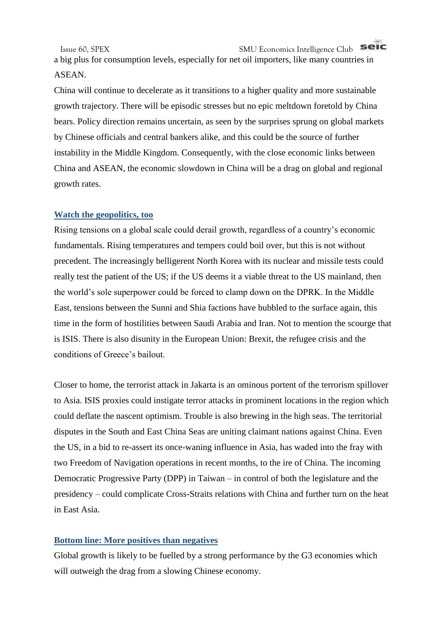a big plus for consumption levels, especially for net oil importers, like many countries in ASEAN.

China will continue to decelerate as it transitions to a higher quality and more sustainable growth trajectory. There will be episodic stresses but no epic meltdown foretold by China bears. Policy direction remains uncertain, as seen by the surprises sprung on global markets by Chinese officials and central bankers alike, and this could be the source of further instability in the Middle Kingdom. Consequently, with the close economic links between China and ASEAN, the economic slowdown in China will be a drag on global and regional growth rates.

#### **Watch the geopolitics, too**

Rising tensions on a global scale could derail growth, regardless of a country's economic fundamentals. Rising temperatures and tempers could boil over, but this is not without precedent. The increasingly belligerent North Korea with its nuclear and missile tests could really test the patient of the US; if the US deems it a viable threat to the US mainland, then the world's sole superpower could be forced to clamp down on the DPRK. In the Middle East, tensions between the Sunni and Shia factions have bubbled to the surface again, this time in the form of hostilities between Saudi Arabia and Iran. Not to mention the scourge that is ISIS. There is also disunity in the European Union: Brexit, the refugee crisis and the conditions of Greece's bailout.

Closer to home, the terrorist attack in Jakarta is an ominous portent of the terrorism spillover to Asia. ISIS proxies could instigate terror attacks in prominent locations in the region which could deflate the nascent optimism. Trouble is also brewing in the high seas. The territorial disputes in the South and East China Seas are uniting claimant nations against China. Even the US, in a bid to re-assert its once-waning influence in Asia, has waded into the fray with two Freedom of Navigation operations in recent months, to the ire of China. The incoming Democratic Progressive Party (DPP) in Taiwan – in control of both the legislature and the presidency – could complicate Cross-Straits relations with China and further turn on the heat in East Asia.

#### **Bottom line: More positives than negatives**

Global growth is likely to be fuelled by a strong performance by the G3 economies which will outweigh the drag from a slowing Chinese economy.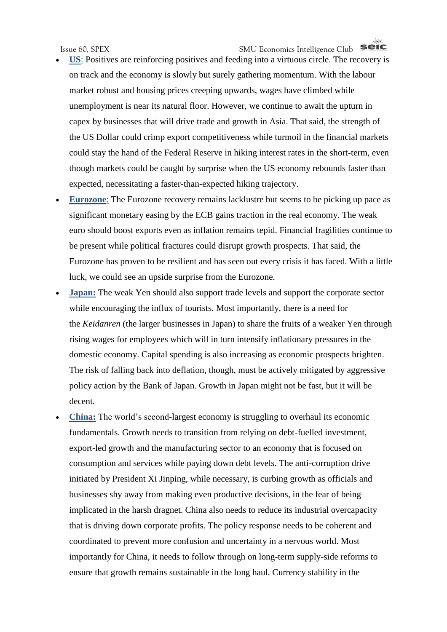- **US**: Positives are reinforcing positives and feeding into a virtuous circle. The recovery is on track and the economy is slowly but surely gathering momentum. With the labour market robust and housing prices creeping upwards, wages have climbed while unemployment is near its natural floor. However, we continue to await the upturn in capex by businesses that will drive trade and growth in Asia. That said, the strength of the US Dollar could crimp export competitiveness while turmoil in the financial markets could stay the hand of the Federal Reserve in hiking interest rates in the short-term, even though markets could be caught by surprise when the US economy rebounds faster than expected, necessitating a faster-than-expected hiking trajectory.
- **Eurozone**: The Eurozone recovery remains lacklustre but seems to be picking up pace as significant monetary easing by the ECB gains traction in the real economy. The weak euro should boost exports even as inflation remains tepid. Financial fragilities continue to be present while political fractures could disrupt growth prospects. That said, the Eurozone has proven to be resilient and has seen out every crisis it has faced. With a little luck, we could see an upside surprise from the Eurozone.
- **Japan:** The weak Yen should also support trade levels and support the corporate sector while encouraging the influx of tourists. Most importantly, there is a need for the *Keidanren* (the larger businesses in Japan) to share the fruits of a weaker Yen through rising wages for employees which will in turn intensify inflationary pressures in the domestic economy. Capital spending is also increasing as economic prospects brighten. The risk of falling back into deflation, though, must be actively mitigated by aggressive policy action by the Bank of Japan. Growth in Japan might not be fast, but it will be decent.
- China: The world's second-largest economy is struggling to overhaul its economic fundamentals. Growth needs to transition from relying on debt-fuelled investment, export-led growth and the manufacturing sector to an economy that is focused on consumption and services while paying down debt levels. The anti-corruption drive initiated by President Xi Jinping, while necessary, is curbing growth as officials and businesses shy away from making even productive decisions, in the fear of being implicated in the harsh dragnet. China also needs to reduce its industrial overcapacity that is driving down corporate profits. The policy response needs to be coherent and coordinated to prevent more confusion and uncertainty in a nervous world. Most importantly for China, it needs to follow through on long-term supply-side reforms to ensure that growth remains sustainable in the long haul. Currency stability in the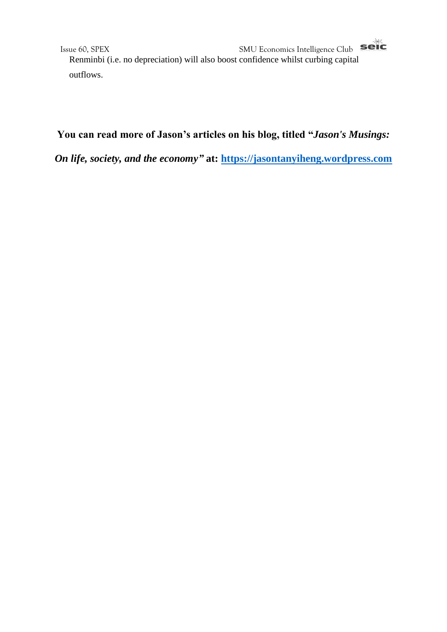Issue 60, SPEX<br> **Example 20** SMU Economics Intelligence Club Renminbi (i.e. no depreciation) will also boost confidence whilst curbing capital outflows.

# **You can read more of Jason's articles on his blog, titled "***Jason's Musings:*

*On life, society, and the economy"* **at: [https://jasontanyiheng.wordpress.com](https://jasontanyiheng.wordpress.com/)**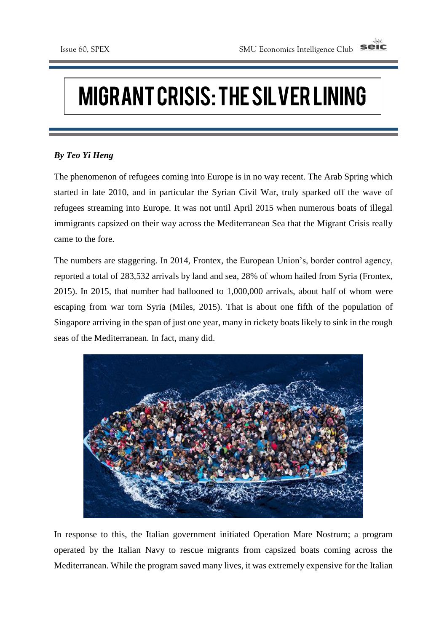# Migrant Crisis: The Silver Lining

### *By Teo Yi Heng*

The phenomenon of refugees coming into Europe is in no way recent. The Arab Spring which started in late 2010, and in particular the Syrian Civil War, truly sparked off the wave of refugees streaming into Europe. It was not until April 2015 when numerous boats of illegal immigrants capsized on their way across the Mediterranean Sea that the Migrant Crisis really came to the fore.

The numbers are staggering. In 2014, Frontex, the European Union's, border control agency, reported a total of 283,532 arrivals by land and sea, 28% of whom hailed from Syria (Frontex, 2015). In 2015, that number had ballooned to 1,000,000 arrivals, about half of whom were escaping from war torn Syria (Miles, 2015). That is about one fifth of the population of Singapore arriving in the span of just one year, many in rickety boats likely to sink in the rough seas of the Mediterranean. In fact, many did.



In response to this, the Italian government initiated Operation Mare Nostrum; a program operated by the Italian Navy to rescue migrants from capsized boats coming across the Mediterranean. While the program saved many lives, it was extremely expensive for the Italian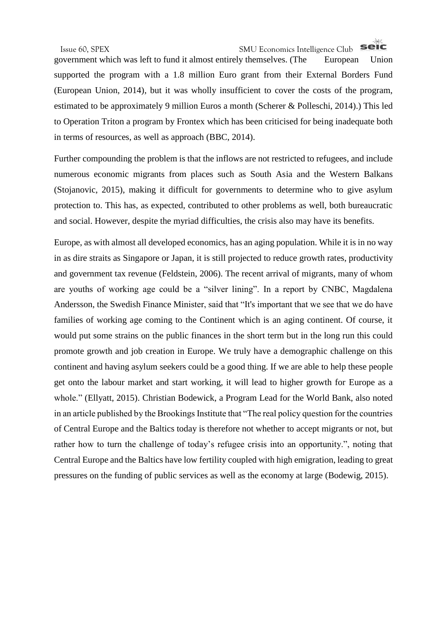#### seic Issue 60, SPEX SMU Economics Intelligence Club

government which was left to fund it almost entirely themselves. (The European Union supported the program with a 1.8 million Euro grant from their External Borders Fund (European Union, 2014), but it was wholly insufficient to cover the costs of the program, estimated to be approximately 9 million Euros a month (Scherer & Polleschi, 2014).) This led to Operation Triton a program by Frontex which has been criticised for being inadequate both in terms of resources, as well as approach (BBC, 2014).

Further compounding the problem is that the inflows are not restricted to refugees, and include numerous economic migrants from places such as South Asia and the Western Balkans (Stojanovic, 2015), making it difficult for governments to determine who to give asylum protection to. This has, as expected, contributed to other problems as well, both bureaucratic and social. However, despite the myriad difficulties, the crisis also may have its benefits.

Europe, as with almost all developed economics, has an aging population. While it is in no way in as dire straits as Singapore or Japan, it is still projected to reduce growth rates, productivity and government tax revenue (Feldstein, 2006). The recent arrival of migrants, many of whom are youths of working age could be a "silver lining". In a report by CNBC, Magdalena Andersson, the Swedish Finance Minister, said that "It's important that we see that we do have families of working age coming to the Continent which is an aging continent. Of course, it would put some strains on the public finances in the short term but in the long run this could promote growth and job creation in Europe. We truly have a demographic challenge on this continent and having asylum seekers could be a good thing. If we are able to help these people get onto the labour market and start working, it will lead to higher growth for Europe as a whole." (Ellyatt, 2015). Christian Bodewick, a Program Lead for the World Bank, also noted in an article published by the Brookings Institute that "The real policy question for the countries of Central Europe and the Baltics today is therefore not whether to accept migrants or not, but rather how to turn the challenge of today's refugee crisis into an opportunity.", noting that Central Europe and the Baltics have low fertility coupled with high emigration, leading to great pressures on the funding of public services as well as the economy at large (Bodewig, 2015).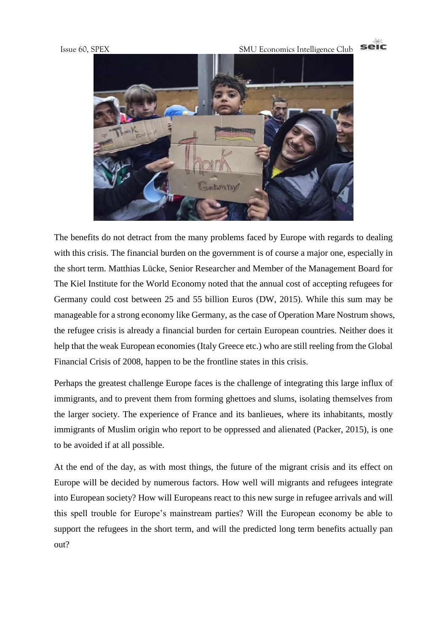

The benefits do not detract from the many problems faced by Europe with regards to dealing with this crisis. The financial burden on the government is of course a major one, especially in the short term. Matthias Lücke, Senior Researcher and Member of the Management Board for The Kiel Institute for the World Economy noted that the annual cost of accepting refugees for Germany could cost between 25 and 55 billion Euros (DW, 2015). While this sum may be manageable for a strong economy like Germany, as the case of Operation Mare Nostrum shows, the refugee crisis is already a financial burden for certain European countries. Neither does it help that the weak European economies (Italy Greece etc.) who are still reeling from the Global Financial Crisis of 2008, happen to be the frontline states in this crisis.

Perhaps the greatest challenge Europe faces is the challenge of integrating this large influx of immigrants, and to prevent them from forming ghettoes and slums, isolating themselves from the larger society. The experience of France and its banlieues, where its inhabitants, mostly immigrants of Muslim origin who report to be oppressed and alienated (Packer, 2015), is one to be avoided if at all possible.

At the end of the day, as with most things, the future of the migrant crisis and its effect on Europe will be decided by numerous factors. How well will migrants and refugees integrate into European society? How will Europeans react to this new surge in refugee arrivals and will this spell trouble for Europe's mainstream parties? Will the European economy be able to support the refugees in the short term, and will the predicted long term benefits actually pan out?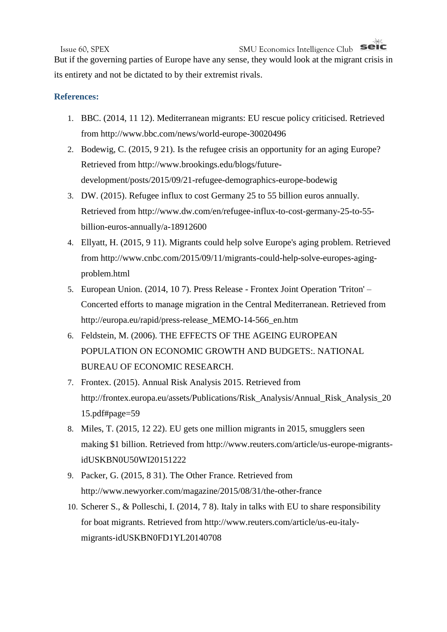seic Issue 60, SPEX SMU Economics Intelligence Club

But if the governing parties of Europe have any sense, they would look at the migrant crisis in its entirety and not be dictated to by their extremist rivals.

#### **References:**

- 1. BBC. (2014, 11 12). Mediterranean migrants: EU rescue policy criticised. Retrieved from http://www.bbc.com/news/world-europe-30020496
- 2. Bodewig, C. (2015, 9 21). Is the refugee crisis an opportunity for an aging Europe? Retrieved from http://www.brookings.edu/blogs/futuredevelopment/posts/2015/09/21-refugee-demographics-europe-bodewig
- 3. DW. (2015). Refugee influx to cost Germany 25 to 55 billion euros annually. Retrieved from http://www.dw.com/en/refugee-influx-to-cost-germany-25-to-55 billion-euros-annually/a-18912600
- 4. Ellyatt, H. (2015, 9 11). Migrants could help solve Europe's aging problem. Retrieved from http://www.cnbc.com/2015/09/11/migrants-could-help-solve-europes-agingproblem.html
- 5. European Union. (2014, 10 7). Press Release Frontex Joint Operation 'Triton' Concerted efforts to manage migration in the Central Mediterranean. Retrieved from http://europa.eu/rapid/press-release\_MEMO-14-566\_en.htm
- 6. Feldstein, M. (2006). THE EFFECTS OF THE AGEING EUROPEAN POPULATION ON ECONOMIC GROWTH AND BUDGETS:. NATIONAL BUREAU OF ECONOMIC RESEARCH.
- 7. Frontex. (2015). Annual Risk Analysis 2015. Retrieved from http://frontex.europa.eu/assets/Publications/Risk\_Analysis/Annual\_Risk\_Analysis\_20 15.pdf#page=59
- 8. Miles, T. (2015, 12 22). EU gets one million migrants in 2015, smugglers seen making \$1 billion. Retrieved from http://www.reuters.com/article/us-europe-migrantsidUSKBN0U50WI20151222
- 9. Packer, G. (2015, 8 31). The Other France. Retrieved from http://www.newyorker.com/magazine/2015/08/31/the-other-france
- 10. Scherer S., & Polleschi, I. (2014, 7 8). Italy in talks with EU to share responsibility for boat migrants. Retrieved from http://www.reuters.com/article/us-eu-italymigrants-idUSKBN0FD1YL20140708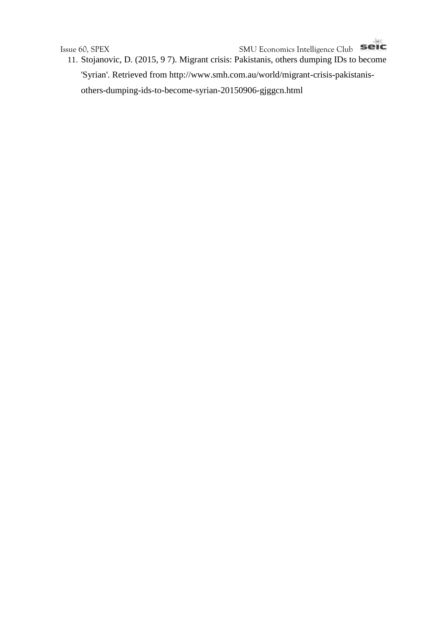Issue 60, SPEX<br>11 Stoisposis D (2015 0 3) 15 11. Stojanovic, D. (2015, 9 7). Migrant crisis: Pakistanis, others dumping IDs to become 'Syrian'. Retrieved from http://www.smh.com.au/world/migrant-crisis-pakistanisothers-dumping-ids-to-become-syrian-20150906-gjggcn.html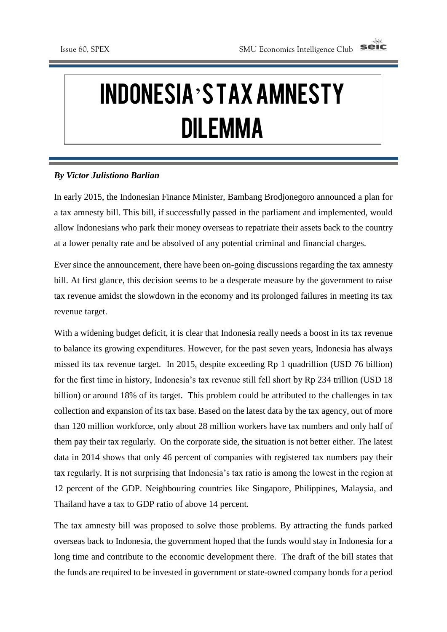# Indonesia's Tax Amnesty Dilemma

#### *By Victor Julistiono Barlian*

In early 2015, the Indonesian Finance Minister, Bambang Brodjonegoro announced a plan for a tax amnesty bill. This bill, if successfully passed in the parliament and implemented, would allow Indonesians who park their money overseas to repatriate their assets back to the country at a lower penalty rate and be absolved of any potential criminal and financial charges.

Ever since the announcement, there have been on-going discussions regarding the tax amnesty bill. At first glance, this decision seems to be a desperate measure by the government to raise tax revenue amidst the slowdown in the economy and its prolonged failures in meeting its tax revenue target.

With a widening budget deficit, it is clear that Indonesia really needs a boost in its tax revenue to balance its growing expenditures. However, for the past seven years, Indonesia has always missed its tax revenue target. In 2015, despite exceeding Rp 1 quadrillion (USD 76 billion) for the first time in history, Indonesia's tax revenue still fell short by Rp 234 trillion (USD 18 billion) or around 18% of its target. This problem could be attributed to the challenges in tax collection and expansion of its tax base. Based on the latest data by the tax agency, out of more than 120 million workforce, only about 28 million workers have tax numbers and only half of them pay their tax regularly. On the corporate side, the situation is not better either. The latest data in 2014 shows that only 46 percent of companies with registered tax numbers pay their tax regularly. It is not surprising that Indonesia's tax ratio is among the lowest in the region at 12 percent of the GDP. Neighbouring countries like Singapore, Philippines, Malaysia, and Thailand have a tax to GDP ratio of above 14 percent.

The tax amnesty bill was proposed to solve those problems. By attracting the funds parked overseas back to Indonesia, the government hoped that the funds would stay in Indonesia for a long time and contribute to the economic development there. The draft of the bill states that the funds are required to be invested in government or state-owned company bonds for a period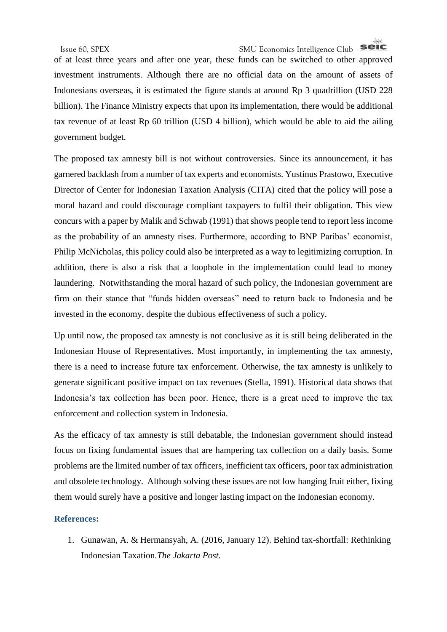# Issue 60, SPEX SMU Economics Intelligence Club

of at least three years and after one year, these funds can be switched to other approved investment instruments. Although there are no official data on the amount of assets of Indonesians overseas, it is estimated the figure stands at around Rp 3 quadrillion (USD 228 billion). The Finance Ministry expects that upon its implementation, there would be additional tax revenue of at least Rp 60 trillion (USD 4 billion), which would be able to aid the ailing government budget.

The proposed tax amnesty bill is not without controversies. Since its announcement, it has garnered backlash from a number of tax experts and economists. Yustinus Prastowo, Executive Director of Center for Indonesian Taxation Analysis (CITA) cited that the policy will pose a moral hazard and could discourage compliant taxpayers to fulfil their obligation. This view concurs with a paper by Malik and Schwab (1991) that shows people tend to report less income as the probability of an amnesty rises. Furthermore, according to BNP Paribas' economist, Philip McNicholas, this policy could also be interpreted as a way to legitimizing corruption. In addition, there is also a risk that a loophole in the implementation could lead to money laundering. Notwithstanding the moral hazard of such policy, the Indonesian government are firm on their stance that "funds hidden overseas" need to return back to Indonesia and be invested in the economy, despite the dubious effectiveness of such a policy.

Up until now, the proposed tax amnesty is not conclusive as it is still being deliberated in the Indonesian House of Representatives. Most importantly, in implementing the tax amnesty, there is a need to increase future tax enforcement. Otherwise, the tax amnesty is unlikely to generate significant positive impact on tax revenues (Stella, 1991). Historical data shows that Indonesia's tax collection has been poor. Hence, there is a great need to improve the tax enforcement and collection system in Indonesia.

As the efficacy of tax amnesty is still debatable, the Indonesian government should instead focus on fixing fundamental issues that are hampering tax collection on a daily basis. Some problems are the limited number of tax officers, inefficient tax officers, poor tax administration and obsolete technology. Although solving these issues are not low hanging fruit either, fixing them would surely have a positive and longer lasting impact on the Indonesian economy.

#### **References:**

1. Gunawan, A. & Hermansyah, A. (2016, January 12). Behind tax-shortfall: Rethinking Indonesian Taxation.*The Jakarta Post.*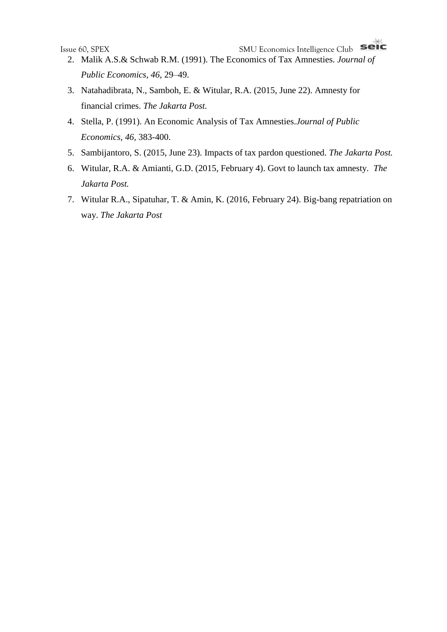- 2. Malik A.S.& Schwab R.M. (1991). The Economics of Tax Amnesties. *Journal of Public Economics*, *46*, 29–49.
- 3. Natahadibrata, N., Samboh, E. & Witular, R.A. (2015, June 22). Amnesty for financial crimes. *The Jakarta Post.*
- 4. Stella, P. (1991). An Economic Analysis of Tax Amnesties.*Journal of Public Economics, 46,* 383-400.
- 5. Sambijantoro, S. (2015, June 23). Impacts of tax pardon questioned. *The Jakarta Post.*
- 6. Witular, R.A. & Amianti, G.D. (2015, February 4). Govt to launch tax amnesty. *The Jakarta Post.*
- 7. Witular R.A., Sipatuhar, T. & Amin, K. (2016, February 24). Big-bang repatriation on way. *The Jakarta Post*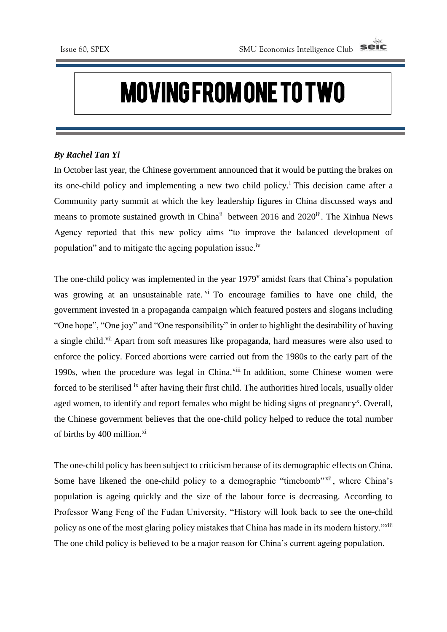# Moving From One to Two

#### *By Rachel Tan Yi*

In October last year, the Chinese government announced that it would be putting the brakes on its one-child policy and implementing a new two child policy.<sup>i</sup> This decision came after a Community party summit at which the key leadership figures in China discussed ways and means to promote sustained growth in China<sup>ii</sup> between 2016 and 2020<sup>iii</sup>. The Xinhua News Agency reported that this new policy aims "to improve the balanced development of population" and to mitigate the ageing population issue.<sup>iv</sup>

The one-child policy was implemented in the year 1979<sup>v</sup> amidst fears that China's population was growing at an unsustainable rate. v<sup>i</sup> To encourage families to have one child, the government invested in a propaganda campaign which featured posters and slogans including "One hope", "One joy" and "One responsibility" in order to highlight the desirability of having a single child.<sup>vii</sup> Apart from soft measures like propaganda, hard measures were also used to enforce the policy. Forced abortions were carried out from the 1980s to the early part of the 1990s, when the procedure was legal in China.<sup>viii</sup> In addition, some Chinese women were forced to be sterilised <sup>ix</sup> after having their first child. The authorities hired locals, usually older aged women, to identify and report females who might be hiding signs of pregnancy<sup>x</sup>. Overall, the Chinese government believes that the one-child policy helped to reduce the total number of births by 400 million.<sup>xi</sup>

The one-child policy has been subject to criticism because of its demographic effects on China. Some have likened the one-child policy to a demographic "timebomb" xii, where China's population is ageing quickly and the size of the labour force is decreasing. According to Professor Wang Feng of the Fudan University, "History will look back to see the one-child policy as one of the most glaring policy mistakes that China has made in its modern history."xiii The one child policy is believed to be a major reason for China's current ageing population.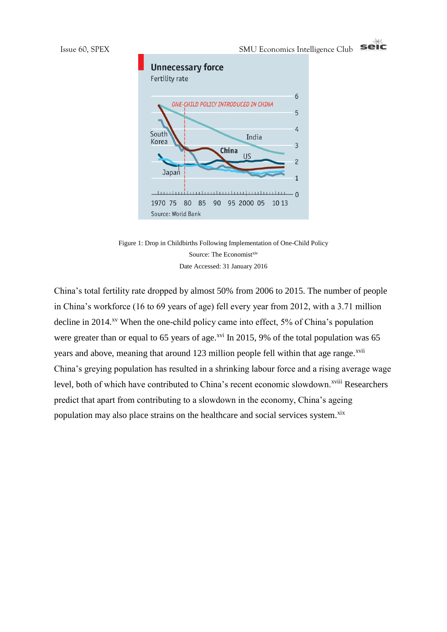

Figure 1: Drop in Childbirths Following Implementation of One-Child Policy Source: The Economistxiv Date Accessed: 31 January 2016

China's total fertility rate dropped by almost 50% from 2006 to 2015. The number of people in China's workforce (16 to 69 years of age) fell every year from 2012, with a 3.71 million decline in 2014.<sup>xv</sup> When the one-child policy came into effect, 5% of China's population were greater than or equal to 65 years of age.<sup>xvi</sup> In 2015, 9% of the total population was 65 years and above, meaning that around 123 million people fell within that age range.<sup>xvii</sup> China's greying population has resulted in a shrinking labour force and a rising average wage level, both of which have contributed to China's recent economic slowdown.<sup>xviii</sup> Researchers predict that apart from contributing to a slowdown in the economy, China's ageing population may also place strains on the healthcare and social services system.<sup>xix</sup>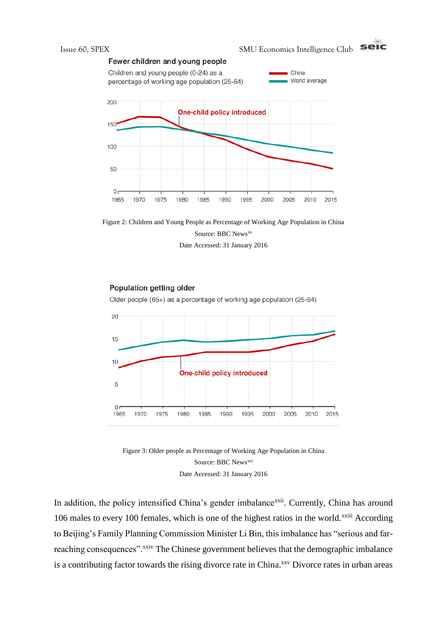



Date Accessed: 31 January 2016

#### Population getting older

Older people (65+) as a percentage of working age population (25-64)





In addition, the policy intensified China's gender imbalance<sup>xxii</sup>. Currently, China has around 106 males to every 100 females, which is one of the highest ratios in the world.<sup>xxiii</sup> According to Beijing's Family Planning Commission Minister Li Bin, this imbalance has "serious and farreaching consequences".<sup>xxiv</sup> The Chinese government believes that the demographic imbalance is a contributing factor towards the rising divorce rate in China.<sup>xxv</sup> Divorce rates in urban areas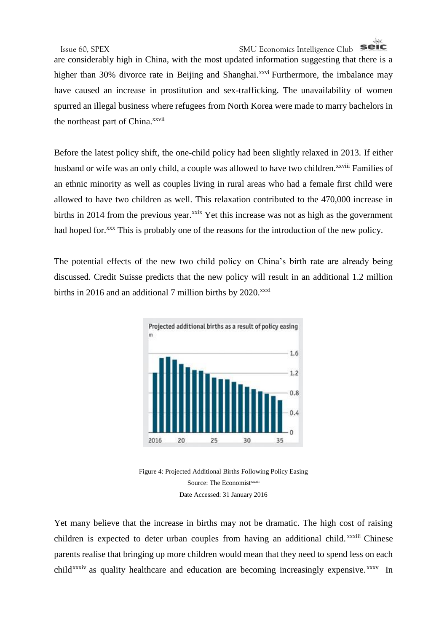# Issue 60, SPEX SMU Economics Intelligence Club

are considerably high in China, with the most updated information suggesting that there is a higher than 30% divorce rate in Beijing and Shanghai.<sup>xxvi</sup> Furthermore, the imbalance may have caused an increase in prostitution and sex-trafficking. The unavailability of women spurred an illegal business where refugees from North Korea were made to marry bachelors in the northeast part of China.<sup>xxvii</sup>

Before the latest policy shift, the one-child policy had been slightly relaxed in 2013. If either husband or wife was an only child, a couple was allowed to have two children.<sup>xxviii</sup> Families of an ethnic minority as well as couples living in rural areas who had a female first child were allowed to have two children as well. This relaxation contributed to the 470,000 increase in births in 2014 from the previous year.<sup>xxix</sup> Yet this increase was not as high as the government had hoped for.<sup>xxx</sup> This is probably one of the reasons for the introduction of the new policy.

The potential effects of the new two child policy on China's birth rate are already being discussed. Credit Suisse predicts that the new policy will result in an additional 1.2 million births in 2016 and an additional 7 million births by  $2020$ .<sup>xxxi</sup>



Figure 4: Projected Additional Births Following Policy Easing Source: The Economist<sup>xxxii</sup> Date Accessed: 31 January 2016

Yet many believe that the increase in births may not be dramatic. The high cost of raising children is expected to deter urban couples from having an additional child. xxxiii Chinese parents realise that bringing up more children would mean that they need to spend less on each child<sup>xxxiv</sup> as quality healthcare and education are becoming increasingly expensive.<sup>xxxv</sup> In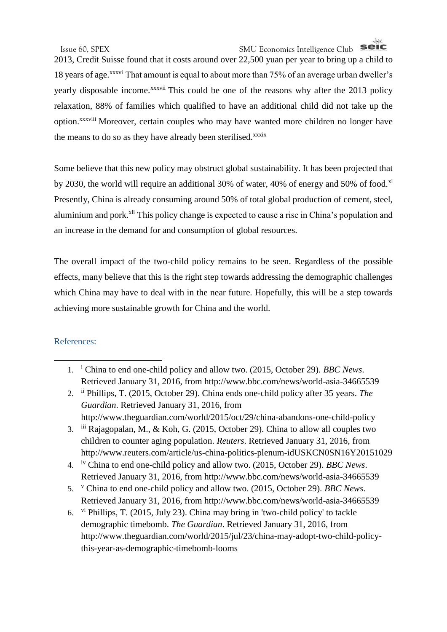# Issue 60, SPEX SMU Economics Intelligence Club

2013, Credit Suisse found that it costs around over 22,500 yuan per year to bring up a child to 18 years of age.<sup>xxxvi</sup> That amount is equal to about more than 75% of an average urban dweller's yearly disposable income.<sup>xxxvii</sup> This could be one of the reasons why after the 2013 policy relaxation, 88% of families which qualified to have an additional child did not take up the option.<sup>xxxviii</sup> Moreover, certain couples who may have wanted more children no longer have the means to do so as they have already been sterilised.<sup>xxxix</sup>

Some believe that this new policy may obstruct global sustainability. It has been projected that by 2030, the world will require an additional 30% of water, 40% of energy and 50% of food. $x<sup>1</sup>$ Presently, China is already consuming around 50% of total global production of cement, steel, aluminium and pork.<sup>xli</sup> This policy change is expected to cause a rise in China's population and an increase in the demand for and consumption of global resources.

The overall impact of the two-child policy remains to be seen. Regardless of the possible effects, many believe that this is the right step towards addressing the demographic challenges which China may have to deal with in the near future. Hopefully, this will be a step towards achieving more sustainable growth for China and the world.

### References:

**.** 

- 1. <sup>i</sup> China to end one-child policy and allow two. (2015, October 29). *BBC News*. Retrieved January 31, 2016, from http://www.bbc.com/news/world-asia-34665539
- 2. ii Phillips, T. (2015, October 29). China ends one-child policy after 35 years. *The Guardian*. Retrieved January 31, 2016, from http://www.theguardian.com/world/2015/oct/29/china-abandons-one-child-policy
- 3. iii Rajagopalan, M., & Koh, G. (2015, October 29). China to allow all couples two children to counter aging population. *Reuters*. Retrieved January 31, 2016, from http://www.reuters.com/article/us-china-politics-plenum-idUSKCN0SN16Y20151029
- 4. iv China to end one-child policy and allow two. (2015, October 29). *BBC News*. Retrieved January 31, 2016, from http://www.bbc.com/news/world-asia-34665539
- 5. <sup>v</sup> China to end one-child policy and allow two. (2015, October 29). *BBC News*. Retrieved January 31, 2016, from http://www.bbc.com/news/world-asia-34665539
- 6. vi Phillips, T. (2015, July 23). China may bring in 'two-child policy' to tackle demographic timebomb. *The Guardian*. Retrieved January 31, 2016, from http://www.theguardian.com/world/2015/jul/23/china-may-adopt-two-child-policythis-year-as-demographic-timebomb-looms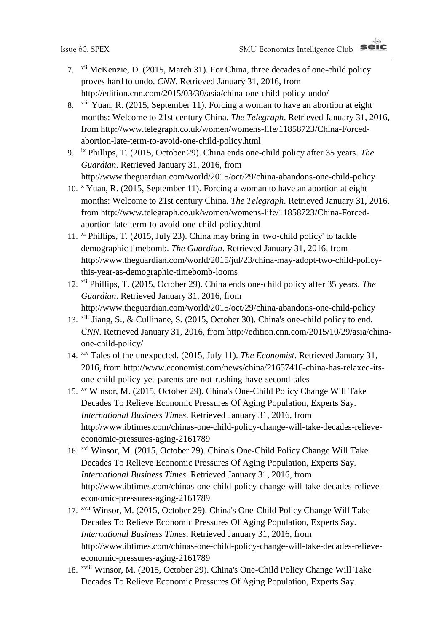- 7. vii McKenzie, D. (2015, March 31). For China, three decades of one-child policy proves hard to undo. *CNN*. Retrieved January 31, 2016, from http://edition.cnn.com/2015/03/30/asia/china-one-child-policy-undo/
- 8. viii Yuan, R. (2015, September 11). Forcing a woman to have an abortion at eight months: Welcome to 21st century China. *The Telegraph*. Retrieved January 31, 2016, from http://www.telegraph.co.uk/women/womens-life/11858723/China-Forcedabortion-late-term-to-avoid-one-child-policy.html
- 9. ix Phillips, T. (2015, October 29). China ends one-child policy after 35 years. *The Guardian*. Retrieved January 31, 2016, from http://www.theguardian.com/world/2015/oct/29/china-abandons-one-child-policy
- 10. <sup>x</sup> Yuan, R. (2015, September 11). Forcing a woman to have an abortion at eight months: Welcome to 21st century China. *The Telegraph*. Retrieved January 31, 2016, from http://www.telegraph.co.uk/women/womens-life/11858723/China-Forcedabortion-late-term-to-avoid-one-child-policy.html
- 11. xi Phillips, T. (2015, July 23). China may bring in 'two-child policy' to tackle demographic timebomb. *The Guardian*. Retrieved January 31, 2016, from http://www.theguardian.com/world/2015/jul/23/china-may-adopt-two-child-policythis-year-as-demographic-timebomb-looms
- 12. xii Phillips, T. (2015, October 29). China ends one-child policy after 35 years. *The Guardian*. Retrieved January 31, 2016, from http://www.theguardian.com/world/2015/oct/29/china-abandons-one-child-policy
- 13. xiii Jiang, S., & Cullinane, S. (2015, October 30). China's one-child policy to end. *CNN*. Retrieved January 31, 2016, from http://edition.cnn.com/2015/10/29/asia/chinaone-child-policy/
- 14. xiv Tales of the unexpected. (2015, July 11). *The Economist*. Retrieved January 31, 2016, from http://www.economist.com/news/china/21657416-china-has-relaxed-itsone-child-policy-yet-parents-are-not-rushing-have-second-tales
- 15. xv Winsor, M. (2015, October 29). China's One-Child Policy Change Will Take Decades To Relieve Economic Pressures Of Aging Population, Experts Say. *International Business Times*. Retrieved January 31, 2016, from http://www.ibtimes.com/chinas-one-child-policy-change-will-take-decades-relieveeconomic-pressures-aging-2161789
- 16. xvi Winsor, M. (2015, October 29). China's One-Child Policy Change Will Take Decades To Relieve Economic Pressures Of Aging Population, Experts Say. *International Business Times*. Retrieved January 31, 2016, from http://www.ibtimes.com/chinas-one-child-policy-change-will-take-decades-relieveeconomic-pressures-aging-2161789
- 17. xvii Winsor, M. (2015, October 29). China's One-Child Policy Change Will Take Decades To Relieve Economic Pressures Of Aging Population, Experts Say. *International Business Times*. Retrieved January 31, 2016, from http://www.ibtimes.com/chinas-one-child-policy-change-will-take-decades-relieveeconomic-pressures-aging-2161789
- 18. xviii Winsor, M. (2015, October 29). China's One-Child Policy Change Will Take Decades To Relieve Economic Pressures Of Aging Population, Experts Say.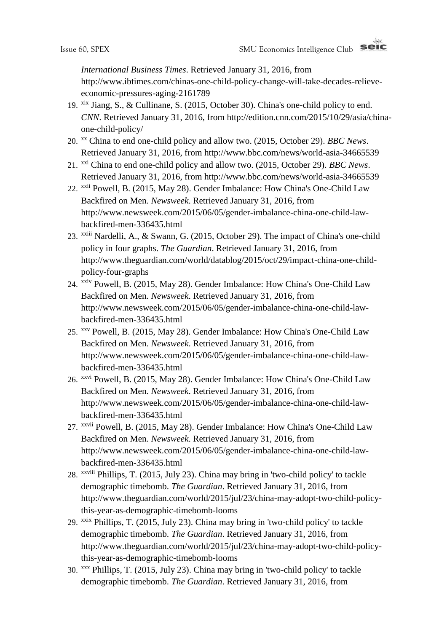*International Business Times*. Retrieved January 31, 2016, from http://www.ibtimes.com/chinas-one-child-policy-change-will-take-decades-relieveeconomic-pressures-aging-2161789

- 19. xix Jiang, S., & Cullinane, S. (2015, October 30). China's one-child policy to end. *CNN*. Retrieved January 31, 2016, from http://edition.cnn.com/2015/10/29/asia/chinaone-child-policy/
- 20. xx China to end one-child policy and allow two. (2015, October 29). *BBC News*. Retrieved January 31, 2016, from http://www.bbc.com/news/world-asia-34665539
- 21. xxi China to end one-child policy and allow two. (2015, October 29). *BBC News*. Retrieved January 31, 2016, from http://www.bbc.com/news/world-asia-34665539
- 22. xxii Powell, B. (2015, May 28). Gender Imbalance: How China's One-Child Law Backfired on Men. *Newsweek*. Retrieved January 31, 2016, from http://www.newsweek.com/2015/06/05/gender-imbalance-china-one-child-lawbackfired-men-336435.html
- 23. xxiii Nardelli, A., & Swann, G. (2015, October 29). The impact of China's one-child policy in four graphs. *The Guardian*. Retrieved January 31, 2016, from http://www.theguardian.com/world/datablog/2015/oct/29/impact-china-one-childpolicy-four-graphs
- 24. xxiv Powell, B. (2015, May 28). Gender Imbalance: How China's One-Child Law Backfired on Men. *Newsweek*. Retrieved January 31, 2016, from http://www.newsweek.com/2015/06/05/gender-imbalance-china-one-child-lawbackfired-men-336435.html
- 25. xxv Powell, B. (2015, May 28). Gender Imbalance: How China's One-Child Law Backfired on Men. *Newsweek*. Retrieved January 31, 2016, from http://www.newsweek.com/2015/06/05/gender-imbalance-china-one-child-lawbackfired-men-336435.html
- 26. xxvi Powell, B. (2015, May 28). Gender Imbalance: How China's One-Child Law Backfired on Men. *Newsweek*. Retrieved January 31, 2016, from http://www.newsweek.com/2015/06/05/gender-imbalance-china-one-child-lawbackfired-men-336435.html
- 27. xxvii Powell, B. (2015, May 28). Gender Imbalance: How China's One-Child Law Backfired on Men. *Newsweek*. Retrieved January 31, 2016, from http://www.newsweek.com/2015/06/05/gender-imbalance-china-one-child-lawbackfired-men-336435.html
- 28. xxviii Phillips, T. (2015, July 23). China may bring in 'two-child policy' to tackle demographic timebomb. *The Guardian*. Retrieved January 31, 2016, from http://www.theguardian.com/world/2015/jul/23/china-may-adopt-two-child-policythis-year-as-demographic-timebomb-looms
- 29. xxix Phillips, T. (2015, July 23). China may bring in 'two-child policy' to tackle demographic timebomb. *The Guardian*. Retrieved January 31, 2016, from http://www.theguardian.com/world/2015/jul/23/china-may-adopt-two-child-policythis-year-as-demographic-timebomb-looms
- 30. xxx Phillips, T. (2015, July 23). China may bring in 'two-child policy' to tackle demographic timebomb. *The Guardian*. Retrieved January 31, 2016, from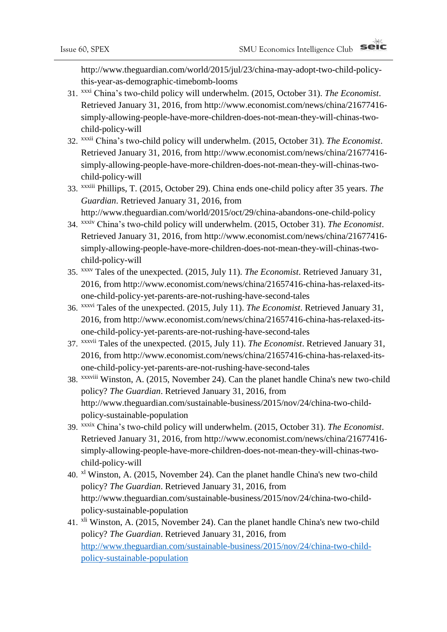http://www.theguardian.com/world/2015/jul/23/china-may-adopt-two-child-policythis-year-as-demographic-timebomb-looms

- 31. xxxi China's two-child policy will underwhelm. (2015, October 31). *The Economist*. Retrieved January 31, 2016, from http://www.economist.com/news/china/21677416 simply-allowing-people-have-more-children-does-not-mean-they-will-chinas-twochild-policy-will
- 32. xxxii China's two-child policy will underwhelm. (2015, October 31). *The Economist*. Retrieved January 31, 2016, from http://www.economist.com/news/china/21677416 simply-allowing-people-have-more-children-does-not-mean-they-will-chinas-twochild-policy-will
- 33. xxxiii Phillips, T. (2015, October 29). China ends one-child policy after 35 years. *The Guardian*. Retrieved January 31, 2016, from http://www.theguardian.com/world/2015/oct/29/china-abandons-one-child-policy
- 34. xxxiv China's two-child policy will underwhelm. (2015, October 31). *The Economist*. Retrieved January 31, 2016, from http://www.economist.com/news/china/21677416 simply-allowing-people-have-more-children-does-not-mean-they-will-chinas-twochild-policy-will
- 35. xxxv Tales of the unexpected. (2015, July 11). *The Economist*. Retrieved January 31, 2016, from http://www.economist.com/news/china/21657416-china-has-relaxed-itsone-child-policy-yet-parents-are-not-rushing-have-second-tales
- 36. xxxvi Tales of the unexpected. (2015, July 11). *The Economist*. Retrieved January 31, 2016, from http://www.economist.com/news/china/21657416-china-has-relaxed-itsone-child-policy-yet-parents-are-not-rushing-have-second-tales
- 37. xxxvii Tales of the unexpected. (2015, July 11). *The Economist*. Retrieved January 31, 2016, from http://www.economist.com/news/china/21657416-china-has-relaxed-itsone-child-policy-yet-parents-are-not-rushing-have-second-tales
- 38. xxxviii Winston, A. (2015, November 24). Can the planet handle China's new two-child policy? *The Guardian*. Retrieved January 31, 2016, from http://www.theguardian.com/sustainable-business/2015/nov/24/china-two-childpolicy-sustainable-population
- 39. xxxix China's two-child policy will underwhelm. (2015, October 31). *The Economist*. Retrieved January 31, 2016, from http://www.economist.com/news/china/21677416 simply-allowing-people-have-more-children-does-not-mean-they-will-chinas-twochild-policy-will
- 40. xl Winston, A. (2015, November 24). Can the planet handle China's new two-child policy? *The Guardian*. Retrieved January 31, 2016, from http://www.theguardian.com/sustainable-business/2015/nov/24/china-two-childpolicy-sustainable-population
- 41. xli Winston, A. (2015, November 24). Can the planet handle China's new two-child policy? *The Guardian*. Retrieved January 31, 2016, from [http://www.theguardian.com/sustainable-business/2015/nov/24/china-two-child](http://www.theguardian.com/sustainable-business/2015/nov/24/china-two-child-policy-sustainable-population)[policy-sustainable-population](http://www.theguardian.com/sustainable-business/2015/nov/24/china-two-child-policy-sustainable-population)